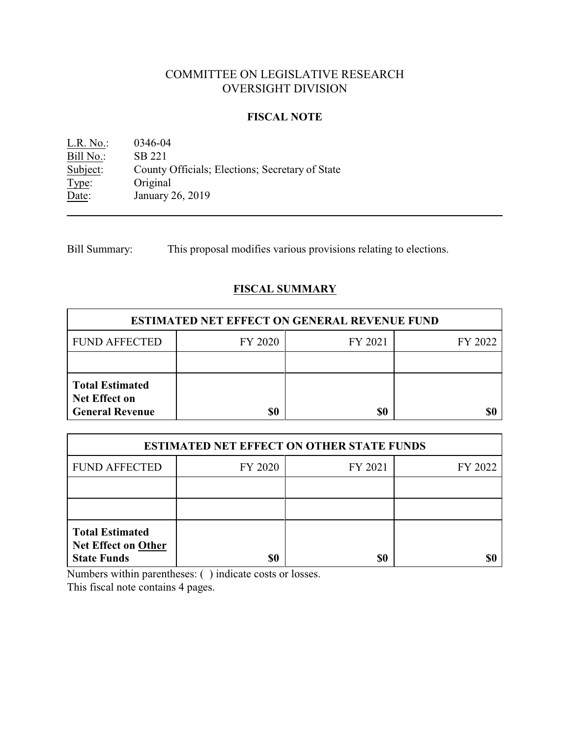# COMMITTEE ON LEGISLATIVE RESEARCH OVERSIGHT DIVISION

### **FISCAL NOTE**

L.R. No.: 0346-04 Bill No.: SB 221<br>Subject: County County Officials; Elections; Secretary of State Type: Original<br>Date: January January 26, 2019

Bill Summary: This proposal modifies various provisions relating to elections.

## **FISCAL SUMMARY**

| <b>ESTIMATED NET EFFECT ON GENERAL REVENUE FUND</b>                      |         |         |         |  |
|--------------------------------------------------------------------------|---------|---------|---------|--|
| <b>FUND AFFECTED</b>                                                     | FY 2020 | FY 2021 | FY 2022 |  |
|                                                                          |         |         |         |  |
| <b>Total Estimated</b><br><b>Net Effect on</b><br><b>General Revenue</b> |         | \$0     |         |  |

| <b>ESTIMATED NET EFFECT ON OTHER STATE FUNDS</b>                           |         |         |         |  |
|----------------------------------------------------------------------------|---------|---------|---------|--|
| <b>FUND AFFECTED</b>                                                       | FY 2020 | FY 2021 | FY 2022 |  |
|                                                                            |         |         |         |  |
|                                                                            |         |         |         |  |
| <b>Total Estimated</b><br><b>Net Effect on Other</b><br><b>State Funds</b> | \$0     | \$0     |         |  |

Numbers within parentheses: ( ) indicate costs or losses.

This fiscal note contains 4 pages.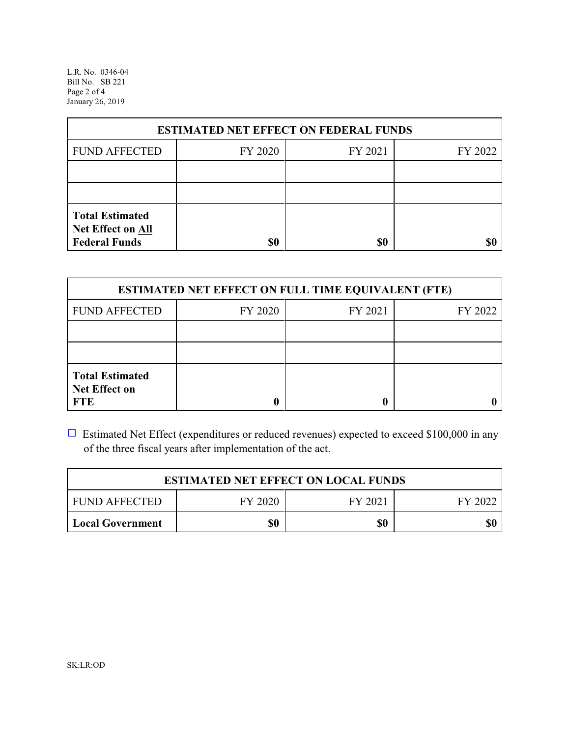L.R. No. 0346-04 Bill No. SB 221 Page 2 of 4 January 26, 2019

| <b>ESTIMATED NET EFFECT ON FEDERAL FUNDS</b>                        |         |         |         |  |
|---------------------------------------------------------------------|---------|---------|---------|--|
| <b>FUND AFFECTED</b>                                                | FY 2020 | FY 2021 | FY 2022 |  |
|                                                                     |         |         |         |  |
|                                                                     |         |         |         |  |
| <b>Total Estimated</b><br>Net Effect on All<br><b>Federal Funds</b> | \$0     | \$0     |         |  |

| <b>ESTIMATED NET EFFECT ON FULL TIME EQUIVALENT (FTE)</b>    |         |         |         |  |
|--------------------------------------------------------------|---------|---------|---------|--|
| <b>FUND AFFECTED</b>                                         | FY 2020 | FY 2021 | FY 2022 |  |
|                                                              |         |         |         |  |
|                                                              |         |         |         |  |
| <b>Total Estimated</b><br><b>Net Effect on</b><br><b>FTE</b> |         |         |         |  |

 $\Box$  Estimated Net Effect (expenditures or reduced revenues) expected to exceed \$100,000 in any of the three fiscal years after implementation of the act.

| <b>ESTIMATED NET EFFECT ON LOCAL FUNDS</b> |         |         |         |
|--------------------------------------------|---------|---------|---------|
| <b>FUND AFFECTED</b>                       | FY 2020 | FY 2021 | FY 2022 |
| <b>Local Government</b>                    | \$0     | \$0     | \$0     |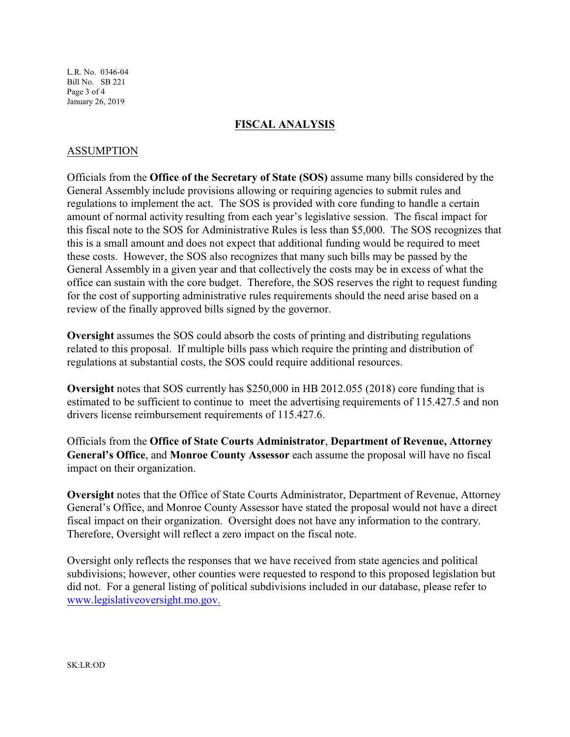L.R. No. 0346-04 Bill No. SB 221 Page 3 of 4 January 26, 2019

#### **FISCAL ANALYSIS**

#### ASSUMPTION

Officials from the **Office of the Secretary of State (SOS)** assume many bills considered by the General Assembly include provisions allowing or requiring agencies to submit rules and regulations to implement the act. The SOS is provided with core funding to handle a certain amount of normal activity resulting from each year's legislative session. The fiscal impact for this fiscal note to the SOS for Administrative Rules is less than \$5,000. The SOS recognizes that this is a small amount and does not expect that additional funding would be required to meet these costs. However, the SOS also recognizes that many such bills may be passed by the General Assembly in a given year and that collectively the costs may be in excess of what the office can sustain with the core budget. Therefore, the SOS reserves the right to request funding for the cost of supporting administrative rules requirements should the need arise based on a review of the finally approved bills signed by the governor.

**Oversight** assumes the SOS could absorb the costs of printing and distributing regulations related to this proposal. If multiple bills pass which require the printing and distribution of regulations at substantial costs, the SOS could require additional resources.

**Oversight** notes that SOS currently has \$250,000 in HB 2012.055 (2018) core funding that is estimated to be sufficient to continue to meet the advertising requirements of 115.427.5 and non drivers license reimbursement requirements of 115.427.6.

Officials from the **Office of State Courts Administrator**, **Department of Revenue, Attorney General's Office**, and **Monroe County Assessor** each assume the proposal will have no fiscal impact on their organization.

**Oversight** notes that the Office of State Courts Administrator, Department of Revenue, Attorney General's Office, and Monroe County Assessor have stated the proposal would not have a direct fiscal impact on their organization. Oversight does not have any information to the contrary. Therefore, Oversight will reflect a zero impact on the fiscal note.

Oversight only reflects the responses that we have received from state agencies and political subdivisions; however, other counties were requested to respond to this proposed legislation but did not. For a general listing of political subdivisions included in our database, please refer to [www.legislativeoversight.mo.gov.](http://www.legislativeoversight.mo.gov.)